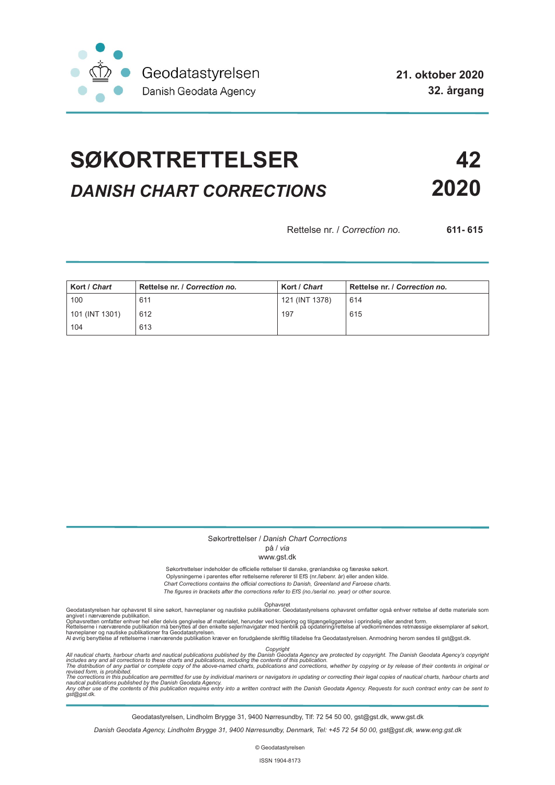

**21. oktober 2020 32. årgang**

# **SØKORTRETTELSER 42** *DANISH CHART CORRECTIONS* **2020**

Rettelse nr. / *Correction no.* **611- 615**

| Kort / Chart   | Rettelse nr. / Correction no. | Kort / Chart   | Rettelse nr. / Correction no. |
|----------------|-------------------------------|----------------|-------------------------------|
| 100            | 611                           | 121 (INT 1378) | 614                           |
| 101 (INT 1301) | 612                           | 197            | 615                           |
| 104            | 613                           |                |                               |

#### Søkortrettelser / *Danish Chart Corrections*

### på / *via*

#### www.gst.dk

Søkortrettelser indeholder de officielle rettelser til danske, grønlandske og færøske søkort. Oplysningerne i parentes efter rettelserne refererer til EfS (nr./løbenr. år) eller anden kilde. *Chart Corrections contains the official corrections to Danish, Greenland and Faroese charts. The figures in brackets after the corrections refer to EfS (no./serial no. year) or other source.*

Ophavsret Geodatastyrelsen har ophavsret til sine søkort, havneplaner og nautiske publikationer. Geodatastyrelsens ophavsret omfatter også enhver rettelse af dette materiale som

angivet i nærværende publikation.<br>Ophavsretten omfatter enhver hel eller delvis gengivelse af materialet, herunder ved kopiering og tilgængeliggørelse i oprindelig eller ændret form.<br>Rettelserne i nærværende publikation må

Copyright<br>includes any and all corrections to these charts and publications published by the Danish Agency are protected by copyright. The Danish Geodata Agency's copyright<br>includes any and all corrections to these charts

Geodatastyrelsen, Lindholm Brygge 31, 9400 Nørresundby, Tlf: 72 54 50 00, gst@gst.dk, www.gst.dk

*Danish Geodata Agency, Lindholm Brygge 31, 9400 Nørresundby, Denmark, Tel: +45 72 54 50 00, gst@gst.dk, www.eng.gst.dk*

© Geodatastyrelsen

ISSN 1904-8173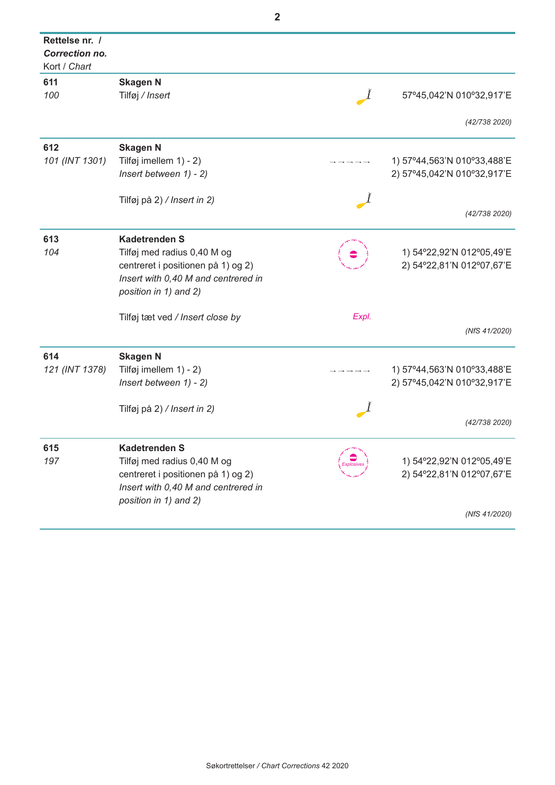| Rettelse nr. /<br><b>Correction no.</b><br>Kort / Chart |                                     |            |                             |
|---------------------------------------------------------|-------------------------------------|------------|-----------------------------|
| 611                                                     | <b>Skagen N</b>                     |            |                             |
| 100                                                     | Tilføj / Insert                     |            | 57°45,042'N 010°32,917'E    |
|                                                         |                                     |            | (42/738 2020)               |
| 612                                                     | <b>Skagen N</b>                     |            |                             |
| 101 (INT 1301)                                          | Tilføj imellem 1) - 2)              |            | 1) 57°44,563'N 010°33,488'E |
|                                                         | Insert between $1) - 2$ )           |            | 2) 57°45,042'N 010°32,917'E |
|                                                         | Tilføj på 2) / Insert in 2)         |            |                             |
|                                                         |                                     |            | (42/738 2020)               |
| 613                                                     | <b>Kadetrenden S</b>                |            |                             |
| 104                                                     | Tilføj med radius 0,40 M og         |            | 1) 54°22,92'N 012°05,49'E   |
|                                                         | centreret i positionen på 1) og 2)  |            | 2) 54°22,81'N 012°07,67'E   |
|                                                         | Insert with 0,40 M and centrered in |            |                             |
|                                                         | position in 1) and 2)               |            |                             |
|                                                         | Tilføj tæt ved / Insert close by    | Expl.      |                             |
|                                                         |                                     |            | (NfS 41/2020)               |
|                                                         |                                     |            |                             |
| 614                                                     | <b>Skagen N</b>                     |            |                             |
| 121 (INT 1378)                                          | Tilføj imellem 1) - 2)              |            | 1) 57°44,563'N 010°33,488'E |
|                                                         | Insert between $1) - 2$ )           |            | 2) 57°45,042'N 010°32,917'E |
|                                                         | Tilføj på 2) / Insert in 2)         |            |                             |
|                                                         |                                     |            | (42/738 2020)               |
|                                                         |                                     |            |                             |
| 615                                                     | <b>Kadetrenden S</b>                |            |                             |
| 197                                                     | Tilføj med radius 0,40 M og         | Explosives | 1) 54°22,92'N 012°05,49'E   |
|                                                         | centreret i positionen på 1) og 2)  |            | 2) 54°22,81'N 012°07,67'E   |
|                                                         | Insert with 0,40 M and centrered in |            |                             |
|                                                         | position in 1) and 2)               |            |                             |
|                                                         |                                     |            | (NfS 41/2020)               |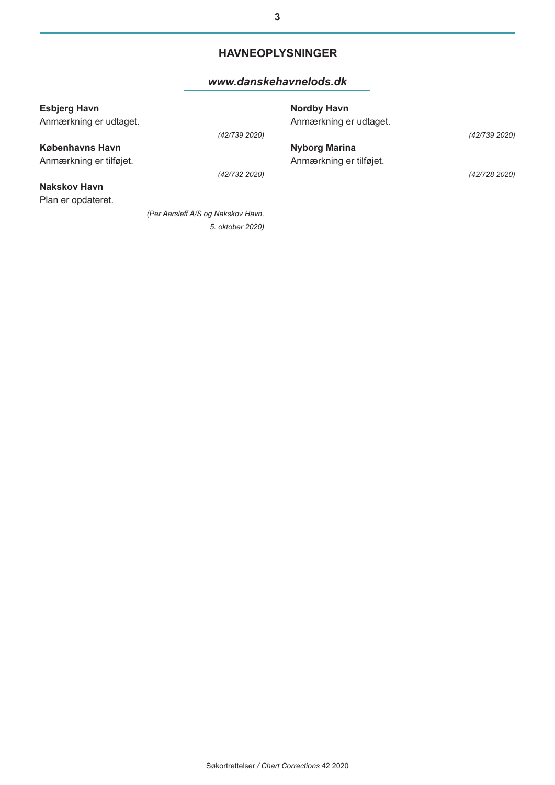### **HAVNEOPLYSNINGER**

#### *[www.danskehavnelods.dk](http://www.danskehavnelods.dk/)*

| <b>Esbjerg Havn</b><br>Anmærkning er udtaget. |                                    | <b>Nordby Havn</b><br>Anmærkning er udtaget. |               |
|-----------------------------------------------|------------------------------------|----------------------------------------------|---------------|
|                                               | (42/739 2020)                      |                                              | (42/739 2020) |
| <b>Københavns Havn</b>                        |                                    | <b>Nyborg Marina</b>                         |               |
| Anmærkning er tilføjet.                       |                                    | Anmærkning er tilføjet.                      |               |
|                                               | (42/732 2020)                      |                                              | (42/728 2020) |
| Nakskov Havn                                  |                                    |                                              |               |
| Plan er opdateret.                            |                                    |                                              |               |
|                                               | (Per Aarsleff A/S og Nakskov Havn, |                                              |               |
|                                               | 5. oktober 2020)                   |                                              |               |
|                                               |                                    |                                              |               |